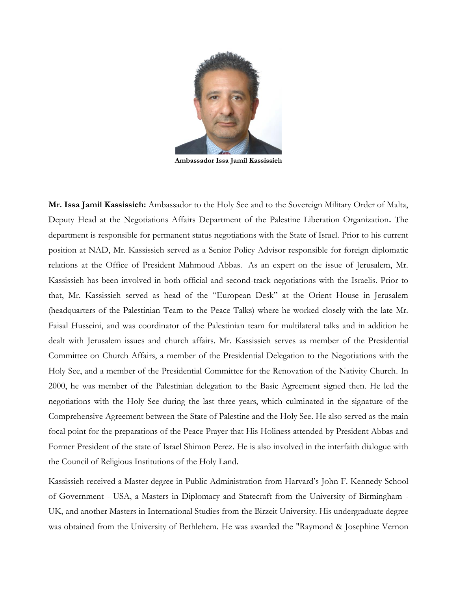

Ambassador Issa Jamil Kassissieh

Mr. Issa Jamil Kassissieh: Ambassador to the Holy See and to the Sovereign Military Order of Malta, Deputy Head at the Negotiations Affairs Department of the Palestine Liberation Organization. The department is responsible for permanent status negotiations with the State of Israel. Prior to his current position at NAD, Mr. Kassissieh served as a Senior Policy Advisor responsible for foreign diplomatic relations at the Office of President Mahmoud Abbas. As an expert on the issue of Jerusalem, Mr. Kassissieh has been involved in both official and second-track negotiations with the Israelis. Prior to that, Mr. Kassissieh served as head of the "European Desk" at the Orient House in Jerusalem (headquarters of the Palestinian Team to the Peace Talks) where he worked closely with the late Mr. Faisal Husseini, and was coordinator of the Palestinian team for multilateral talks and in addition he dealt with Jerusalem issues and church affairs. Mr. Kassissieh serves as member of the Presidential Committee on Church Affairs, a member of the Presidential Delegation to the Negotiations with the Holy See, and a member of the Presidential Committee for the Renovation of the Nativity Church. In 2000, he was member of the Palestinian delegation to the Basic Agreement signed then. He led the negotiations with the Holy See during the last three years, which culminated in the signature of the Comprehensive Agreement between the State of Palestine and the Holy See. He also served as the main focal point for the preparations of the Peace Prayer that His Holiness attended by President Abbas and Former President of the state of Israel Shimon Perez. He is also involved in the interfaith dialogue with the Council of Religious Institutions of the Holy Land.

Kassissieh received a Master degree in Public Administration from Harvard's John F. Kennedy School of Government - USA, a Masters in Diplomacy and Statecraft from the University of Birmingham - UK, and another Masters in International Studies from the Birzeit University. His undergraduate degree was obtained from the University of Bethlehem. He was awarded the "Raymond & Josephine Vernon